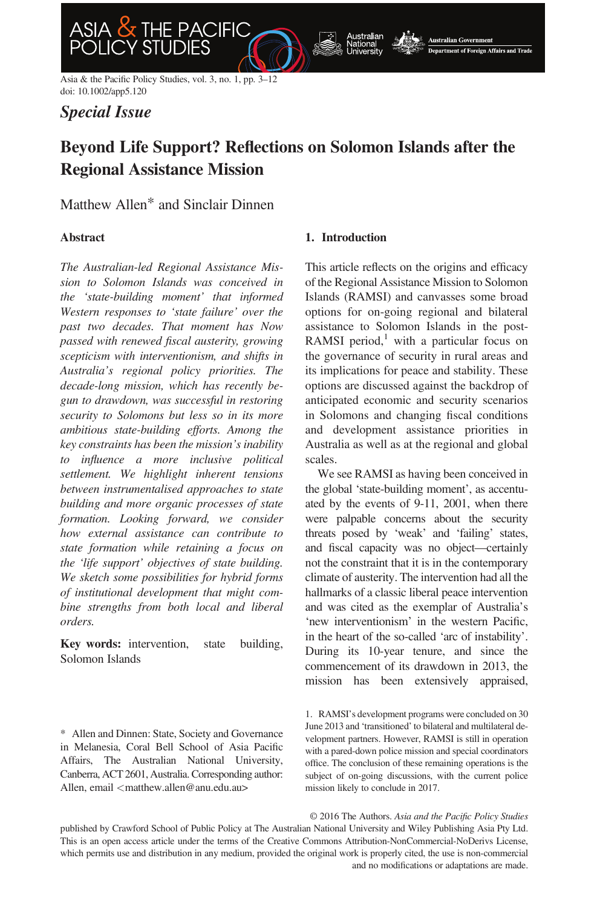Asia & the Pacific Policy Studies, vol. 3, no. 1, pp. 3–12 doi: 10.1002/app5.120

**THE PACIFIC** 

## Special Issue

# Beyond Life Support? Reflections on Solomon Islands after the Regional Assistance Mission

Matthew Allen\* and Sinclair Dinnen

## Abstract

The Australian-led Regional Assistance Mission to Solomon Islands was conceived in the 'state-building moment' that informed Western responses to 'state failure' over the past two decades. That moment has Now passed with renewed fiscal austerity, growing scepticism with interventionism, and shifts in Australia's regional policy priorities. The decade-long mission, which has recently begun to drawdown, was successful in restoring security to Solomons but less so in its more ambitious state-building efforts. Among the key constraints has been the mission's inability to influence a more inclusive political settlement. We highlight inherent tensions between instrumentalised approaches to state building and more organic processes of state formation. Looking forward, we consider how external assistance can contribute to state formation while retaining a focus on the 'life support' objectives of state building. We sketch some possibilities for hybrid forms of institutional development that might combine strengths from both local and liberal orders.

Key words: intervention, state building, Solomon Islands

\* Allen and Dinnen: State, Society and Governance in Melanesia, Coral Bell School of Asia Pacific Affairs, The Australian National University, Canberra, ACT 2601, Australia. Corresponding author: Allen, email <matthew.allen@anu.edu.au>

## 1. Introduction

This article reflects on the origins and efficacy of the Regional Assistance Mission to Solomon Islands (RAMSI) and canvasses some broad options for on-going regional and bilateral assistance to Solomon Islands in the post-RAMSI period,<sup>1</sup> with a particular focus on the governance of security in rural areas and its implications for peace and stability. These options are discussed against the backdrop of anticipated economic and security scenarios in Solomons and changing fiscal conditions and development assistance priorities in Australia as well as at the regional and global scales.

We see RAMSI as having been conceived in the global 'state-building moment', as accentuated by the events of 9-11, 2001, when there were palpable concerns about the security threats posed by 'weak' and 'failing' states, and fiscal capacity was no object—certainly not the constraint that it is in the contemporary climate of austerity. The intervention had all the hallmarks of a classic liberal peace intervention and was cited as the exemplar of Australia's 'new interventionism' in the western Pacific, in the heart of the so-called 'arc of instability'. During its 10-year tenure, and since the commencement of its drawdown in 2013, the mission has been extensively appraised,

1. RAMSI's development programs were concluded on 30 June 2013 and 'transitioned' to bilateral and multilateral development partners. However, RAMSI is still in operation with a pared-down police mission and special coordinators office. The conclusion of these remaining operations is the subject of on-going discussions, with the current police mission likely to conclude in 2017.

© 2016 The Authors. Asia and the Pacific Policy Studies published by Crawford School of Public Policy at The Australian National University and Wiley Publishing Asia Pty Ltd. This is an open access article under the terms of the [Creative Commons Attribution-NonCommercial-NoDerivs](http://creativecommons.org/licenses/by-nc-nd/4.0/) License, which permits use and distribution in any medium, provided the original work is properly cited, the use is non-commercial and no modifications or adaptations are made.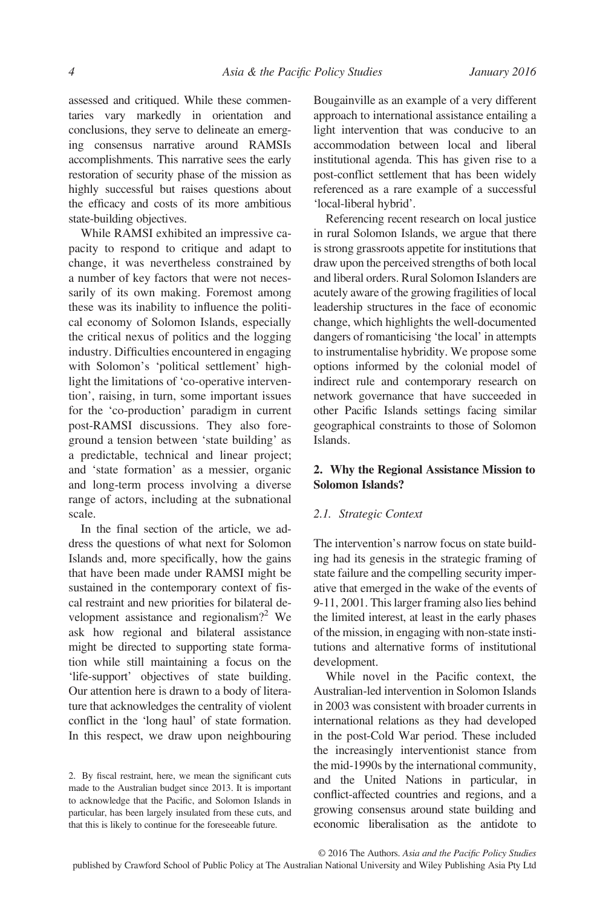assessed and critiqued. While these commentaries vary markedly in orientation and conclusions, they serve to delineate an emerging consensus narrative around RAMSIs accomplishments. This narrative sees the early restoration of security phase of the mission as highly successful but raises questions about the efficacy and costs of its more ambitious state-building objectives.

While RAMSI exhibited an impressive capacity to respond to critique and adapt to change, it was nevertheless constrained by a number of key factors that were not necessarily of its own making. Foremost among these was its inability to influence the political economy of Solomon Islands, especially the critical nexus of politics and the logging industry. Difficulties encountered in engaging with Solomon's 'political settlement' highlight the limitations of 'co-operative intervention', raising, in turn, some important issues for the 'co-production' paradigm in current post-RAMSI discussions. They also foreground a tension between 'state building' as a predictable, technical and linear project; and 'state formation' as a messier, organic and long-term process involving a diverse range of actors, including at the subnational scale.

In the final section of the article, we address the questions of what next for Solomon Islands and, more specifically, how the gains that have been made under RAMSI might be sustained in the contemporary context of fiscal restraint and new priorities for bilateral development assistance and regionalism?<sup>2</sup> We ask how regional and bilateral assistance might be directed to supporting state formation while still maintaining a focus on the 'life-support' objectives of state building. Our attention here is drawn to a body of literature that acknowledges the centrality of violent conflict in the 'long haul' of state formation. In this respect, we draw upon neighbouring

Bougainville as an example of a very different approach to international assistance entailing a light intervention that was conducive to an accommodation between local and liberal institutional agenda. This has given rise to a post-conflict settlement that has been widely referenced as a rare example of a successful 'local-liberal hybrid'.

Referencing recent research on local justice in rural Solomon Islands, we argue that there is strong grassroots appetite for institutions that draw upon the perceived strengths of both local and liberal orders. Rural Solomon Islanders are acutely aware of the growing fragilities of local leadership structures in the face of economic change, which highlights the well-documented dangers of romanticising 'the local' in attempts to instrumentalise hybridity. We propose some options informed by the colonial model of indirect rule and contemporary research on network governance that have succeeded in other Pacific Islands settings facing similar geographical constraints to those of Solomon Islands.

## 2. Why the Regional Assistance Mission to Solomon Islands?

## 2.1. Strategic Context

The intervention's narrow focus on state building had its genesis in the strategic framing of state failure and the compelling security imperative that emerged in the wake of the events of 9-11, 2001. This larger framing also lies behind the limited interest, at least in the early phases of the mission, in engaging with non-state institutions and alternative forms of institutional development.

While novel in the Pacific context, the Australian-led intervention in Solomon Islands in 2003 was consistent with broader currents in international relations as they had developed in the post-Cold War period. These included the increasingly interventionist stance from the mid-1990s by the international community, and the United Nations in particular, in conflict-affected countries and regions, and a growing consensus around state building and economic liberalisation as the antidote to

<sup>2.</sup> By fiscal restraint, here, we mean the significant cuts made to the Australian budget since 2013. It is important to acknowledge that the Pacific, and Solomon Islands in particular, has been largely insulated from these cuts, and that this is likely to continue for the foreseeable future.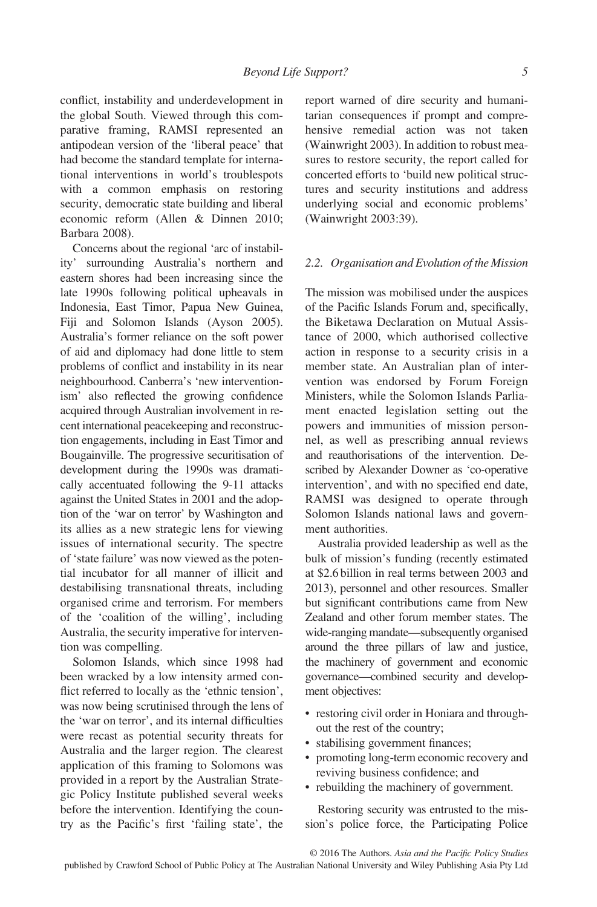conflict, instability and underdevelopment in the global South. Viewed through this comparative framing, RAMSI represented an antipodean version of the 'liberal peace' that had become the standard template for international interventions in world's troublespots with a common emphasis on restoring security, democratic state building and liberal economic reform (Allen & Dinnen 2010; Barbara 2008).

Concerns about the regional 'arc of instability' surrounding Australia's northern and eastern shores had been increasing since the late 1990s following political upheavals in Indonesia, East Timor, Papua New Guinea, Fiji and Solomon Islands (Ayson 2005). Australia's former reliance on the soft power of aid and diplomacy had done little to stem problems of conflict and instability in its near neighbourhood. Canberra's 'new interventionism' also reflected the growing confidence acquired through Australian involvement in recent international peacekeeping and reconstruction engagements, including in East Timor and Bougainville. The progressive securitisation of development during the 1990s was dramatically accentuated following the 9-11 attacks against the United States in 2001 and the adoption of the 'war on terror' by Washington and its allies as a new strategic lens for viewing issues of international security. The spectre of 'state failure' was now viewed as the potential incubator for all manner of illicit and destabilising transnational threats, including organised crime and terrorism. For members of the 'coalition of the willing', including Australia, the security imperative for intervention was compelling.

Solomon Islands, which since 1998 had been wracked by a low intensity armed conflict referred to locally as the 'ethnic tension', was now being scrutinised through the lens of the 'war on terror', and its internal difficulties were recast as potential security threats for Australia and the larger region. The clearest application of this framing to Solomons was provided in a report by the Australian Strategic Policy Institute published several weeks before the intervention. Identifying the country as the Pacific's first 'failing state', the

report warned of dire security and humanitarian consequences if prompt and comprehensive remedial action was not taken (Wainwright 2003). In addition to robust measures to restore security, the report called for concerted efforts to 'build new political structures and security institutions and address underlying social and economic problems' (Wainwright 2003:39).

#### 2.2. Organisation and Evolution of the Mission

The mission was mobilised under the auspices of the Pacific Islands Forum and, specifically, the Biketawa Declaration on Mutual Assistance of 2000, which authorised collective action in response to a security crisis in a member state. An Australian plan of intervention was endorsed by Forum Foreign Ministers, while the Solomon Islands Parliament enacted legislation setting out the powers and immunities of mission personnel, as well as prescribing annual reviews and reauthorisations of the intervention. Described by Alexander Downer as 'co-operative intervention', and with no specified end date, RAMSI was designed to operate through Solomon Islands national laws and government authorities.

Australia provided leadership as well as the bulk of mission's funding (recently estimated at \$2.6 billion in real terms between 2003 and 2013), personnel and other resources. Smaller but significant contributions came from New Zealand and other forum member states. The wide-ranging mandate—subsequently organised around the three pillars of law and justice, the machinery of government and economic governance—combined security and development objectives:

- restoring civil order in Honiara and throughout the rest of the country;
- stabilising government finances;
- promoting long-term economic recovery and reviving business confidence; and
- rebuilding the machinery of government.

Restoring security was entrusted to the mission's police force, the Participating Police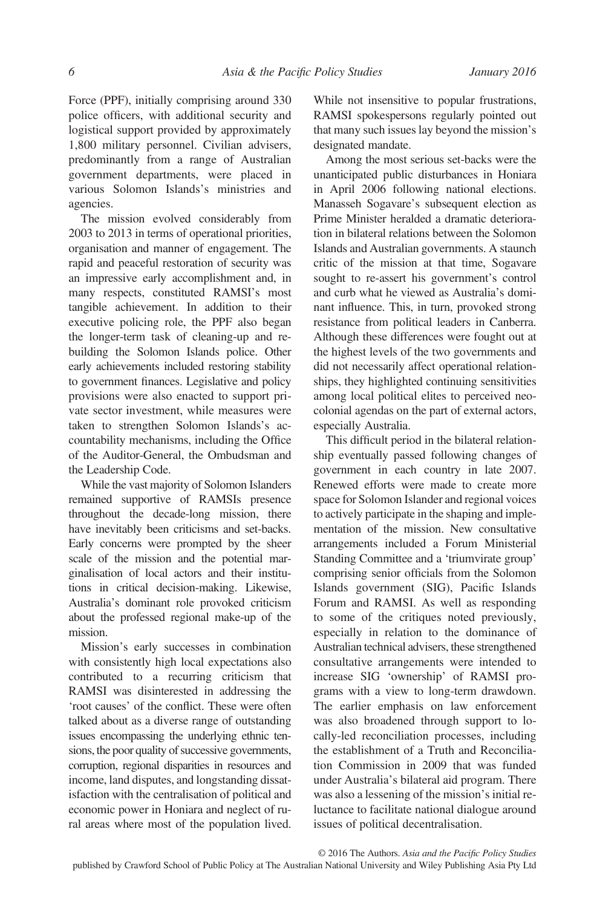Force (PPF), initially comprising around 330 police officers, with additional security and logistical support provided by approximately 1,800 military personnel. Civilian advisers, predominantly from a range of Australian government departments, were placed in various Solomon Islands's ministries and agencies.

The mission evolved considerably from 2003 to 2013 in terms of operational priorities, organisation and manner of engagement. The rapid and peaceful restoration of security was an impressive early accomplishment and, in many respects, constituted RAMSI's most tangible achievement. In addition to their executive policing role, the PPF also began the longer-term task of cleaning-up and rebuilding the Solomon Islands police. Other early achievements included restoring stability to government finances. Legislative and policy provisions were also enacted to support private sector investment, while measures were taken to strengthen Solomon Islands's accountability mechanisms, including the Office of the Auditor-General, the Ombudsman and the Leadership Code.

While the vast majority of Solomon Islanders remained supportive of RAMSIs presence throughout the decade-long mission, there have inevitably been criticisms and set-backs. Early concerns were prompted by the sheer scale of the mission and the potential marginalisation of local actors and their institutions in critical decision-making. Likewise, Australia's dominant role provoked criticism about the professed regional make-up of the mission.

Mission's early successes in combination with consistently high local expectations also contributed to a recurring criticism that RAMSI was disinterested in addressing the 'root causes' of the conflict. These were often talked about as a diverse range of outstanding issues encompassing the underlying ethnic tensions, the poor quality of successive governments, corruption, regional disparities in resources and income, land disputes, and longstanding dissatisfaction with the centralisation of political and economic power in Honiara and neglect of rural areas where most of the population lived.

While not insensitive to popular frustrations, RAMSI spokespersons regularly pointed out that many such issues lay beyond the mission's designated mandate.

Among the most serious set-backs were the unanticipated public disturbances in Honiara in April 2006 following national elections. Manasseh Sogavare's subsequent election as Prime Minister heralded a dramatic deterioration in bilateral relations between the Solomon Islands and Australian governments. A staunch critic of the mission at that time, Sogavare sought to re-assert his government's control and curb what he viewed as Australia's dominant influence. This, in turn, provoked strong resistance from political leaders in Canberra. Although these differences were fought out at the highest levels of the two governments and did not necessarily affect operational relationships, they highlighted continuing sensitivities among local political elites to perceived neocolonial agendas on the part of external actors, especially Australia.

This difficult period in the bilateral relationship eventually passed following changes of government in each country in late 2007. Renewed efforts were made to create more space for Solomon Islander and regional voices to actively participate in the shaping and implementation of the mission. New consultative arrangements included a Forum Ministerial Standing Committee and a 'triumvirate group' comprising senior officials from the Solomon Islands government (SIG), Pacific Islands Forum and RAMSI. As well as responding to some of the critiques noted previously, especially in relation to the dominance of Australian technical advisers, these strengthened consultative arrangements were intended to increase SIG 'ownership' of RAMSI programs with a view to long-term drawdown. The earlier emphasis on law enforcement was also broadened through support to locally-led reconciliation processes, including the establishment of a Truth and Reconciliation Commission in 2009 that was funded under Australia's bilateral aid program. There was also a lessening of the mission's initial reluctance to facilitate national dialogue around issues of political decentralisation.

published by Crawford School of Public Policy at The Australian National University and Wiley Publishing Asia Pty Ltd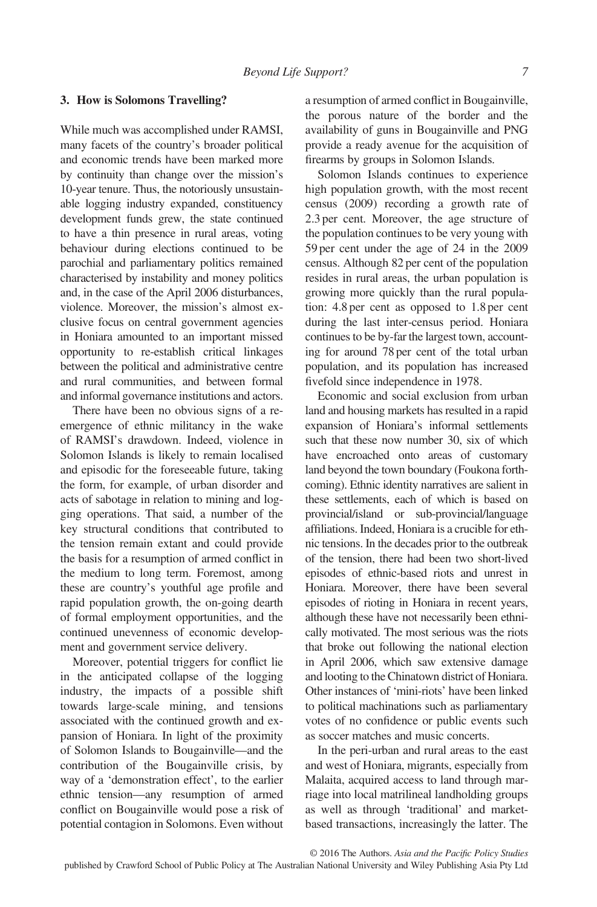#### 3. How is Solomons Travelling?

While much was accomplished under RAMSI, many facets of the country's broader political and economic trends have been marked more by continuity than change over the mission's 10-year tenure. Thus, the notoriously unsustainable logging industry expanded, constituency development funds grew, the state continued to have a thin presence in rural areas, voting behaviour during elections continued to be parochial and parliamentary politics remained characterised by instability and money politics and, in the case of the April 2006 disturbances, violence. Moreover, the mission's almost exclusive focus on central government agencies in Honiara amounted to an important missed opportunity to re-establish critical linkages between the political and administrative centre and rural communities, and between formal and informal governance institutions and actors.

There have been no obvious signs of a reemergence of ethnic militancy in the wake of RAMSI's drawdown. Indeed, violence in Solomon Islands is likely to remain localised and episodic for the foreseeable future, taking the form, for example, of urban disorder and acts of sabotage in relation to mining and logging operations. That said, a number of the key structural conditions that contributed to the tension remain extant and could provide the basis for a resumption of armed conflict in the medium to long term. Foremost, among these are country's youthful age profile and rapid population growth, the on-going dearth of formal employment opportunities, and the continued unevenness of economic development and government service delivery.

Moreover, potential triggers for conflict lie in the anticipated collapse of the logging industry, the impacts of a possible shift towards large-scale mining, and tensions associated with the continued growth and expansion of Honiara. In light of the proximity of Solomon Islands to Bougainville—and the contribution of the Bougainville crisis, by way of a 'demonstration effect', to the earlier ethnic tension—any resumption of armed conflict on Bougainville would pose a risk of potential contagion in Solomons. Even without

a resumption of armed conflict in Bougainville, the porous nature of the border and the availability of guns in Bougainville and PNG provide a ready avenue for the acquisition of firearms by groups in Solomon Islands.

Solomon Islands continues to experience high population growth, with the most recent census (2009) recording a growth rate of 2.3 per cent. Moreover, the age structure of the population continues to be very young with 59 per cent under the age of 24 in the 2009 census. Although 82 per cent of the population resides in rural areas, the urban population is growing more quickly than the rural population: 4.8 per cent as opposed to 1.8 per cent during the last inter-census period. Honiara continues to be by-far the largest town, accounting for around 78 per cent of the total urban population, and its population has increased fivefold since independence in 1978.

Economic and social exclusion from urban land and housing markets has resulted in a rapid expansion of Honiara's informal settlements such that these now number 30, six of which have encroached onto areas of customary land beyond the town boundary (Foukona forthcoming). Ethnic identity narratives are salient in these settlements, each of which is based on provincial/island or sub-provincial/language affiliations. Indeed, Honiara is a crucible for ethnic tensions. In the decades prior to the outbreak of the tension, there had been two short-lived episodes of ethnic-based riots and unrest in Honiara. Moreover, there have been several episodes of rioting in Honiara in recent years, although these have not necessarily been ethnically motivated. The most serious was the riots that broke out following the national election in April 2006, which saw extensive damage and looting to the Chinatown district of Honiara. Other instances of 'mini-riots' have been linked to political machinations such as parliamentary votes of no confidence or public events such as soccer matches and music concerts.

In the peri-urban and rural areas to the east and west of Honiara, migrants, especially from Malaita, acquired access to land through marriage into local matrilineal landholding groups as well as through 'traditional' and marketbased transactions, increasingly the latter. The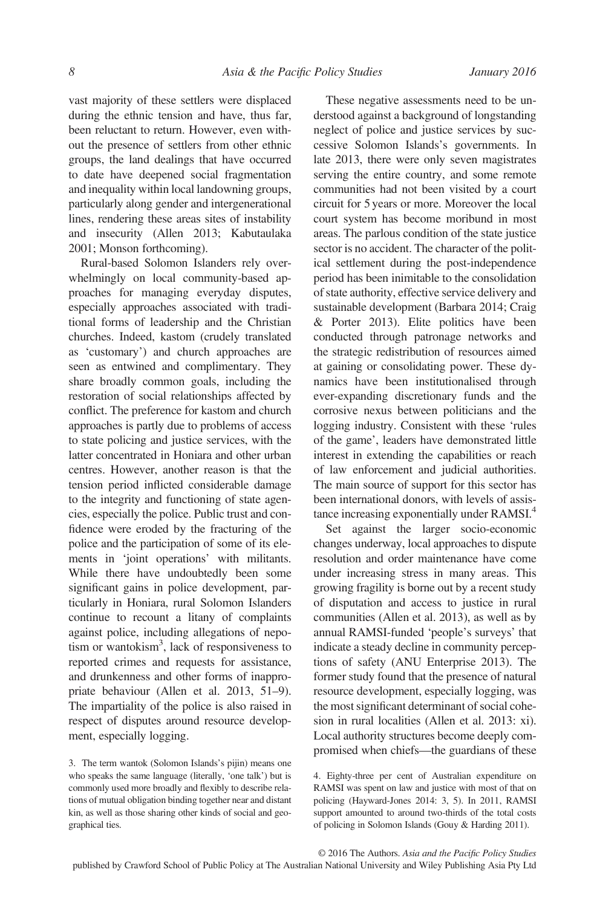vast majority of these settlers were displaced during the ethnic tension and have, thus far, been reluctant to return. However, even without the presence of settlers from other ethnic groups, the land dealings that have occurred to date have deepened social fragmentation and inequality within local landowning groups, particularly along gender and intergenerational lines, rendering these areas sites of instability and insecurity (Allen 2013; Kabutaulaka 2001; Monson forthcoming).

Rural-based Solomon Islanders rely overwhelmingly on local community-based approaches for managing everyday disputes, especially approaches associated with traditional forms of leadership and the Christian churches. Indeed, kastom (crudely translated as 'customary') and church approaches are seen as entwined and complimentary. They share broadly common goals, including the restoration of social relationships affected by conflict. The preference for kastom and church approaches is partly due to problems of access to state policing and justice services, with the latter concentrated in Honiara and other urban centres. However, another reason is that the tension period inflicted considerable damage to the integrity and functioning of state agencies, especially the police. Public trust and confidence were eroded by the fracturing of the police and the participation of some of its elements in 'joint operations' with militants. While there have undoubtedly been some significant gains in police development, particularly in Honiara, rural Solomon Islanders continue to recount a litany of complaints against police, including allegations of nepotism or wantokism<sup>3</sup>, lack of responsiveness to reported crimes and requests for assistance, and drunkenness and other forms of inappropriate behaviour (Allen et al. 2013, 51–9). The impartiality of the police is also raised in respect of disputes around resource development, especially logging.

3. The term wantok (Solomon Islands's pijin) means one who speaks the same language (literally, 'one talk') but is commonly used more broadly and flexibly to describe relations of mutual obligation binding together near and distant kin, as well as those sharing other kinds of social and geographical ties.

These negative assessments need to be understood against a background of longstanding neglect of police and justice services by successive Solomon Islands's governments. In late 2013, there were only seven magistrates serving the entire country, and some remote communities had not been visited by a court circuit for 5 years or more. Moreover the local court system has become moribund in most areas. The parlous condition of the state justice sector is no accident. The character of the political settlement during the post-independence period has been inimitable to the consolidation of state authority, effective service delivery and sustainable development (Barbara 2014; Craig & Porter 2013). Elite politics have been conducted through patronage networks and the strategic redistribution of resources aimed at gaining or consolidating power. These dynamics have been institutionalised through ever-expanding discretionary funds and the corrosive nexus between politicians and the logging industry. Consistent with these 'rules of the game', leaders have demonstrated little interest in extending the capabilities or reach of law enforcement and judicial authorities. The main source of support for this sector has been international donors, with levels of assistance increasing exponentially under RAMSI.<sup>4</sup>

Set against the larger socio-economic changes underway, local approaches to dispute resolution and order maintenance have come under increasing stress in many areas. This growing fragility is borne out by a recent study of disputation and access to justice in rural communities (Allen et al. 2013), as well as by annual RAMSI-funded 'people's surveys' that indicate a steady decline in community perceptions of safety (ANU Enterprise 2013). The former study found that the presence of natural resource development, especially logging, was the most significant determinant of social cohesion in rural localities (Allen et al. 2013: xi). Local authority structures become deeply compromised when chiefs—the guardians of these

4. Eighty-three per cent of Australian expenditure on RAMSI was spent on law and justice with most of that on policing (Hayward-Jones 2014: 3, 5). In 2011, RAMSI support amounted to around two-thirds of the total costs of policing in Solomon Islands (Gouy & Harding 2011).

© 2016 The Authors. Asia and the Pacific Policy Studies

published by Crawford School of Public Policy at The Australian National University and Wiley Publishing Asia Pty Ltd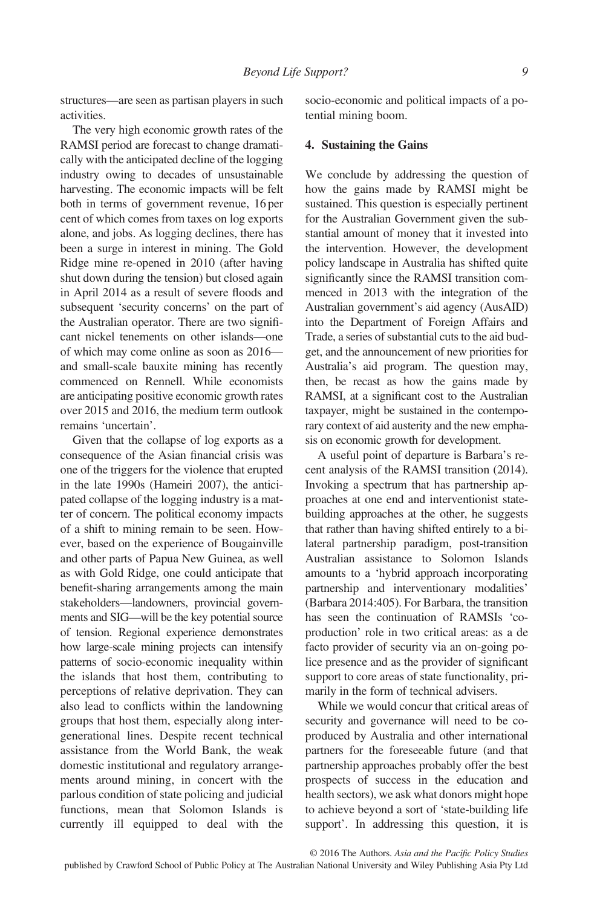structures—are seen as partisan players in such activities.

The very high economic growth rates of the RAMSI period are forecast to change dramatically with the anticipated decline of the logging industry owing to decades of unsustainable harvesting. The economic impacts will be felt both in terms of government revenue, 16 per cent of which comes from taxes on log exports alone, and jobs. As logging declines, there has been a surge in interest in mining. The Gold Ridge mine re-opened in 2010 (after having shut down during the tension) but closed again in April 2014 as a result of severe floods and subsequent 'security concerns' on the part of the Australian operator. There are two significant nickel tenements on other islands—one of which may come online as soon as 2016 and small-scale bauxite mining has recently commenced on Rennell. While economists are anticipating positive economic growth rates over 2015 and 2016, the medium term outlook remains 'uncertain'.

Given that the collapse of log exports as a consequence of the Asian financial crisis was one of the triggers for the violence that erupted in the late 1990s (Hameiri 2007), the anticipated collapse of the logging industry is a matter of concern. The political economy impacts of a shift to mining remain to be seen. However, based on the experience of Bougainville and other parts of Papua New Guinea, as well as with Gold Ridge, one could anticipate that benefit-sharing arrangements among the main stakeholders—landowners, provincial governments and SIG—will be the key potential source of tension. Regional experience demonstrates how large-scale mining projects can intensify patterns of socio-economic inequality within the islands that host them, contributing to perceptions of relative deprivation. They can also lead to conflicts within the landowning groups that host them, especially along intergenerational lines. Despite recent technical assistance from the World Bank, the weak domestic institutional and regulatory arrangements around mining, in concert with the parlous condition of state policing and judicial functions, mean that Solomon Islands is currently ill equipped to deal with the

socio-economic and political impacts of a potential mining boom.

#### 4. Sustaining the Gains

We conclude by addressing the question of how the gains made by RAMSI might be sustained. This question is especially pertinent for the Australian Government given the substantial amount of money that it invested into the intervention. However, the development policy landscape in Australia has shifted quite significantly since the RAMSI transition commenced in 2013 with the integration of the Australian government's aid agency (AusAID) into the Department of Foreign Affairs and Trade, a series of substantial cuts to the aid budget, and the announcement of new priorities for Australia's aid program. The question may, then, be recast as how the gains made by RAMSI, at a significant cost to the Australian taxpayer, might be sustained in the contemporary context of aid austerity and the new emphasis on economic growth for development.

A useful point of departure is Barbara's recent analysis of the RAMSI transition (2014). Invoking a spectrum that has partnership approaches at one end and interventionist statebuilding approaches at the other, he suggests that rather than having shifted entirely to a bilateral partnership paradigm, post-transition Australian assistance to Solomon Islands amounts to a 'hybrid approach incorporating partnership and interventionary modalities' (Barbara 2014:405). For Barbara, the transition has seen the continuation of RAMSIs 'coproduction' role in two critical areas: as a de facto provider of security via an on-going police presence and as the provider of significant support to core areas of state functionality, primarily in the form of technical advisers.

While we would concur that critical areas of security and governance will need to be coproduced by Australia and other international partners for the foreseeable future (and that partnership approaches probably offer the best prospects of success in the education and health sectors), we ask what donors might hope to achieve beyond a sort of 'state-building life support'. In addressing this question, it is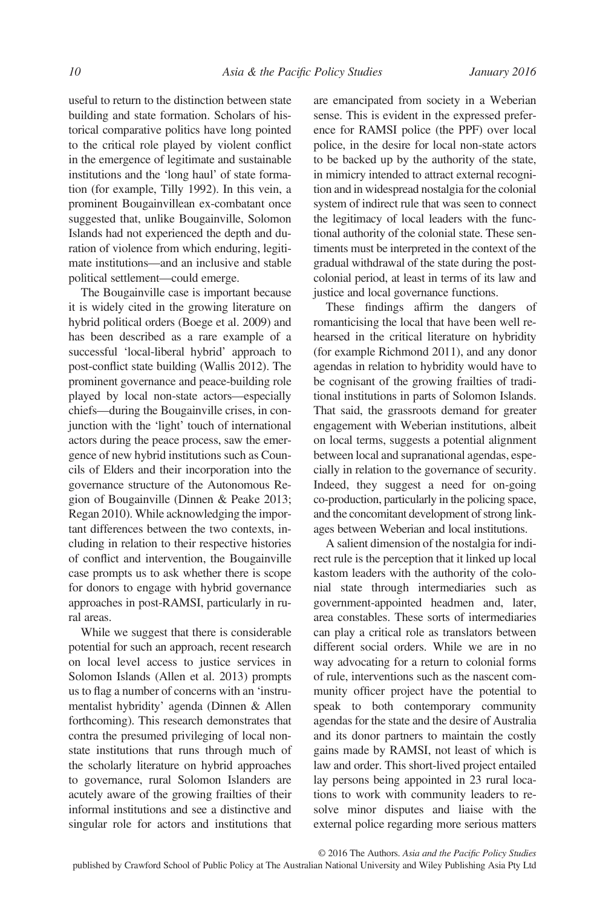useful to return to the distinction between state building and state formation. Scholars of historical comparative politics have long pointed to the critical role played by violent conflict in the emergence of legitimate and sustainable institutions and the 'long haul' of state formation (for example, Tilly 1992). In this vein, a prominent Bougainvillean ex-combatant once suggested that, unlike Bougainville, Solomon Islands had not experienced the depth and duration of violence from which enduring, legitimate institutions—and an inclusive and stable political settlement—could emerge.

The Bougainville case is important because it is widely cited in the growing literature on hybrid political orders (Boege et al. 2009) and has been described as a rare example of a successful 'local-liberal hybrid' approach to post-conflict state building (Wallis 2012). The prominent governance and peace-building role played by local non-state actors—especially chiefs—during the Bougainville crises, in conjunction with the 'light' touch of international actors during the peace process, saw the emergence of new hybrid institutions such as Councils of Elders and their incorporation into the governance structure of the Autonomous Region of Bougainville (Dinnen & Peake 2013; Regan 2010). While acknowledging the important differences between the two contexts, including in relation to their respective histories of conflict and intervention, the Bougainville case prompts us to ask whether there is scope for donors to engage with hybrid governance approaches in post-RAMSI, particularly in rural areas.

While we suggest that there is considerable potential for such an approach, recent research on local level access to justice services in Solomon Islands (Allen et al. 2013) prompts us to flag a number of concerns with an 'instrumentalist hybridity' agenda (Dinnen & Allen forthcoming). This research demonstrates that contra the presumed privileging of local nonstate institutions that runs through much of the scholarly literature on hybrid approaches to governance, rural Solomon Islanders are acutely aware of the growing frailties of their informal institutions and see a distinctive and singular role for actors and institutions that

are emancipated from society in a Weberian sense. This is evident in the expressed preference for RAMSI police (the PPF) over local police, in the desire for local non-state actors to be backed up by the authority of the state, in mimicry intended to attract external recognition and in widespread nostalgia for the colonial system of indirect rule that was seen to connect the legitimacy of local leaders with the functional authority of the colonial state. These sentiments must be interpreted in the context of the gradual withdrawal of the state during the postcolonial period, at least in terms of its law and justice and local governance functions.

These findings affirm the dangers of romanticising the local that have been well rehearsed in the critical literature on hybridity (for example Richmond 2011), and any donor agendas in relation to hybridity would have to be cognisant of the growing frailties of traditional institutions in parts of Solomon Islands. That said, the grassroots demand for greater engagement with Weberian institutions, albeit on local terms, suggests a potential alignment between local and supranational agendas, especially in relation to the governance of security. Indeed, they suggest a need for on-going co-production, particularly in the policing space, and the concomitant development of strong linkages between Weberian and local institutions.

A salient dimension of the nostalgia for indirect rule is the perception that it linked up local kastom leaders with the authority of the colonial state through intermediaries such as government-appointed headmen and, later, area constables. These sorts of intermediaries can play a critical role as translators between different social orders. While we are in no way advocating for a return to colonial forms of rule, interventions such as the nascent community officer project have the potential to speak to both contemporary community agendas for the state and the desire of Australia and its donor partners to maintain the costly gains made by RAMSI, not least of which is law and order. This short-lived project entailed lay persons being appointed in 23 rural locations to work with community leaders to resolve minor disputes and liaise with the external police regarding more serious matters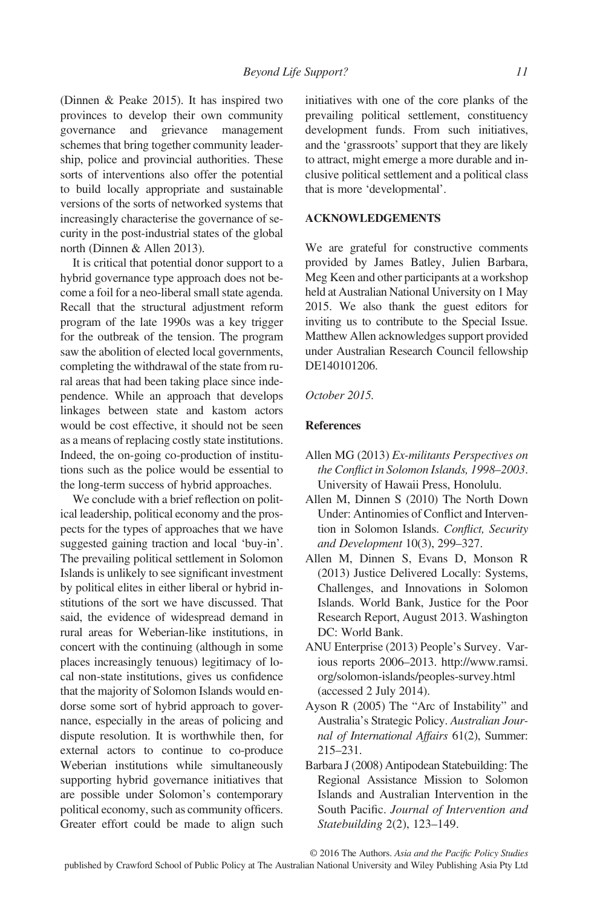(Dinnen & Peake 2015). It has inspired two provinces to develop their own community governance and grievance management schemes that bring together community leadership, police and provincial authorities. These sorts of interventions also offer the potential to build locally appropriate and sustainable versions of the sorts of networked systems that increasingly characterise the governance of security in the post-industrial states of the global north (Dinnen & Allen 2013).

It is critical that potential donor support to a hybrid governance type approach does not become a foil for a neo-liberal small state agenda. Recall that the structural adjustment reform program of the late 1990s was a key trigger for the outbreak of the tension. The program saw the abolition of elected local governments, completing the withdrawal of the state from rural areas that had been taking place since independence. While an approach that develops linkages between state and kastom actors would be cost effective, it should not be seen as a means of replacing costly state institutions. Indeed, the on-going co-production of institutions such as the police would be essential to the long-term success of hybrid approaches.

We conclude with a brief reflection on political leadership, political economy and the prospects for the types of approaches that we have suggested gaining traction and local 'buy-in'. The prevailing political settlement in Solomon Islands is unlikely to see significant investment by political elites in either liberal or hybrid institutions of the sort we have discussed. That said, the evidence of widespread demand in rural areas for Weberian-like institutions, in concert with the continuing (although in some places increasingly tenuous) legitimacy of local non-state institutions, gives us confidence that the majority of Solomon Islands would endorse some sort of hybrid approach to governance, especially in the areas of policing and dispute resolution. It is worthwhile then, for external actors to continue to co-produce Weberian institutions while simultaneously supporting hybrid governance initiatives that are possible under Solomon's contemporary political economy, such as community officers. Greater effort could be made to align such

initiatives with one of the core planks of the prevailing political settlement, constituency development funds. From such initiatives, and the 'grassroots' support that they are likely to attract, might emerge a more durable and inclusive political settlement and a political class that is more 'developmental'.

### ACKNOWLEDGEMENTS

We are grateful for constructive comments provided by James Batley, Julien Barbara, Meg Keen and other participants at a workshop held at Australian National University on 1 May 2015. We also thank the guest editors for inviting us to contribute to the Special Issue. Matthew Allen acknowledges support provided under Australian Research Council fellowship DE140101206.

#### October 2015.

#### References

- Allen MG (2013) Ex-militants Perspectives on the Conflict in Solomon Islands, 1998–2003. University of Hawaii Press, Honolulu.
- Allen M, Dinnen S (2010) The North Down Under: Antinomies of Conflict and Intervention in Solomon Islands. Conflict, Security and Development 10(3), 299–327.
- Allen M, Dinnen S, Evans D, Monson R (2013) Justice Delivered Locally: Systems, Challenges, and Innovations in Solomon Islands. World Bank, Justice for the Poor Research Report, August 2013. Washington DC: World Bank.
- ANU Enterprise (2013) People's Survey. Various reports 2006–2013. [http://www.ramsi.](http://www.ramsi.org/solomon-islands/peoples-survey.html) [org/solomon-islands/peoples-survey.html](http://www.ramsi.org/solomon-islands/peoples-survey.html) (accessed 2 July 2014).
- Ayson R (2005) The "Arc of Instability" and Australia's Strategic Policy. Australian Journal of International Affairs 61(2), Summer: 215–231.
- Barbara J (2008) Antipodean Statebuilding: The Regional Assistance Mission to Solomon Islands and Australian Intervention in the South Pacific. Journal of Intervention and Statebuilding 2(2), 123–149.